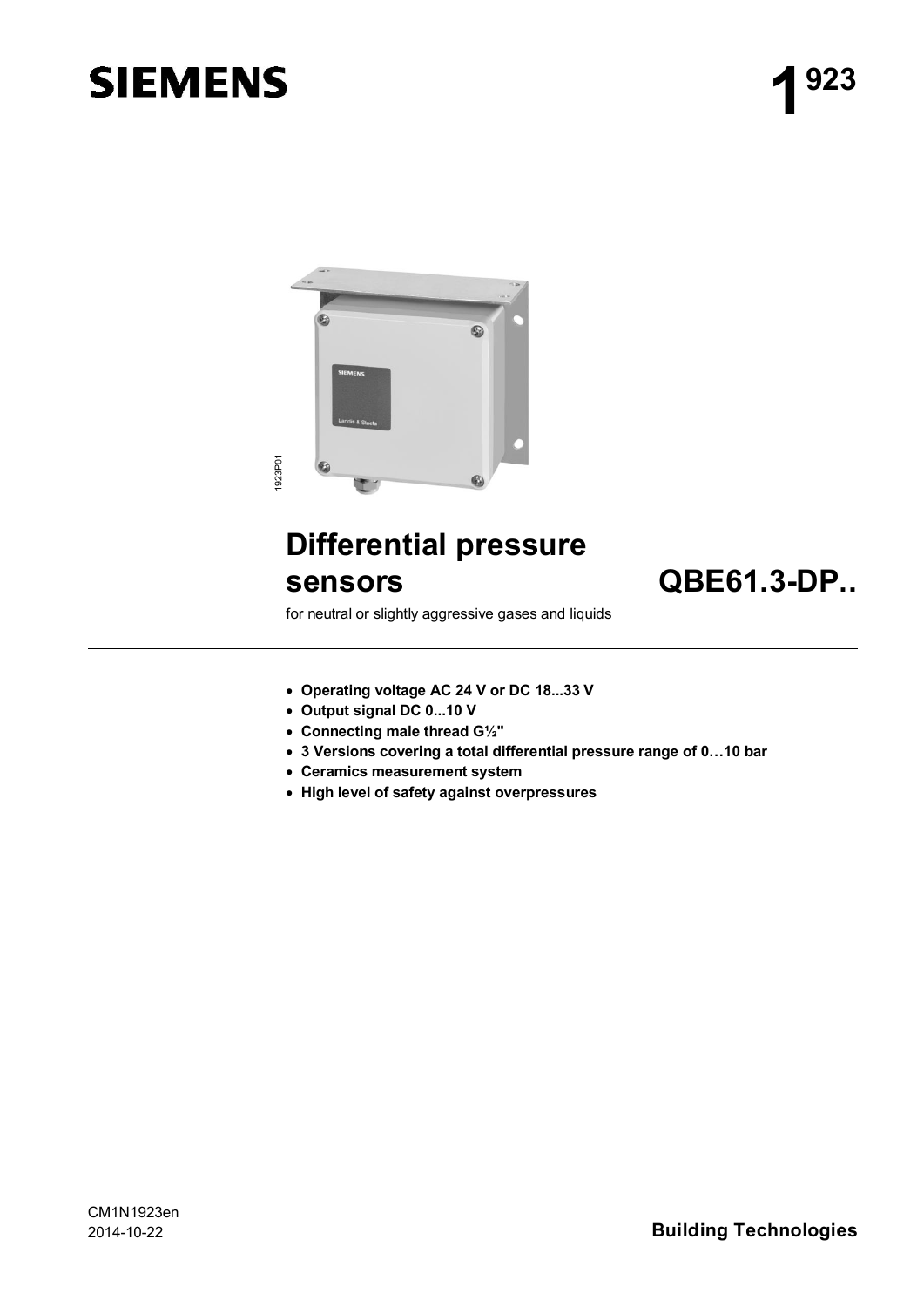# **SIEMENS**



## **Differential pressure sensors QBE61.3-DP..**

for neutral or slightly aggressive gases and liquids

- · **Operating voltage AC 24 V or DC 18...33 V**
- · **Output signal DC 0...10 V**
- · **Connecting male thread G½"**
- · **3 Versions covering a total differential pressure range of 0…10 bar**
- · **Ceramics measurement system**
- · **High level of safety against overpressures**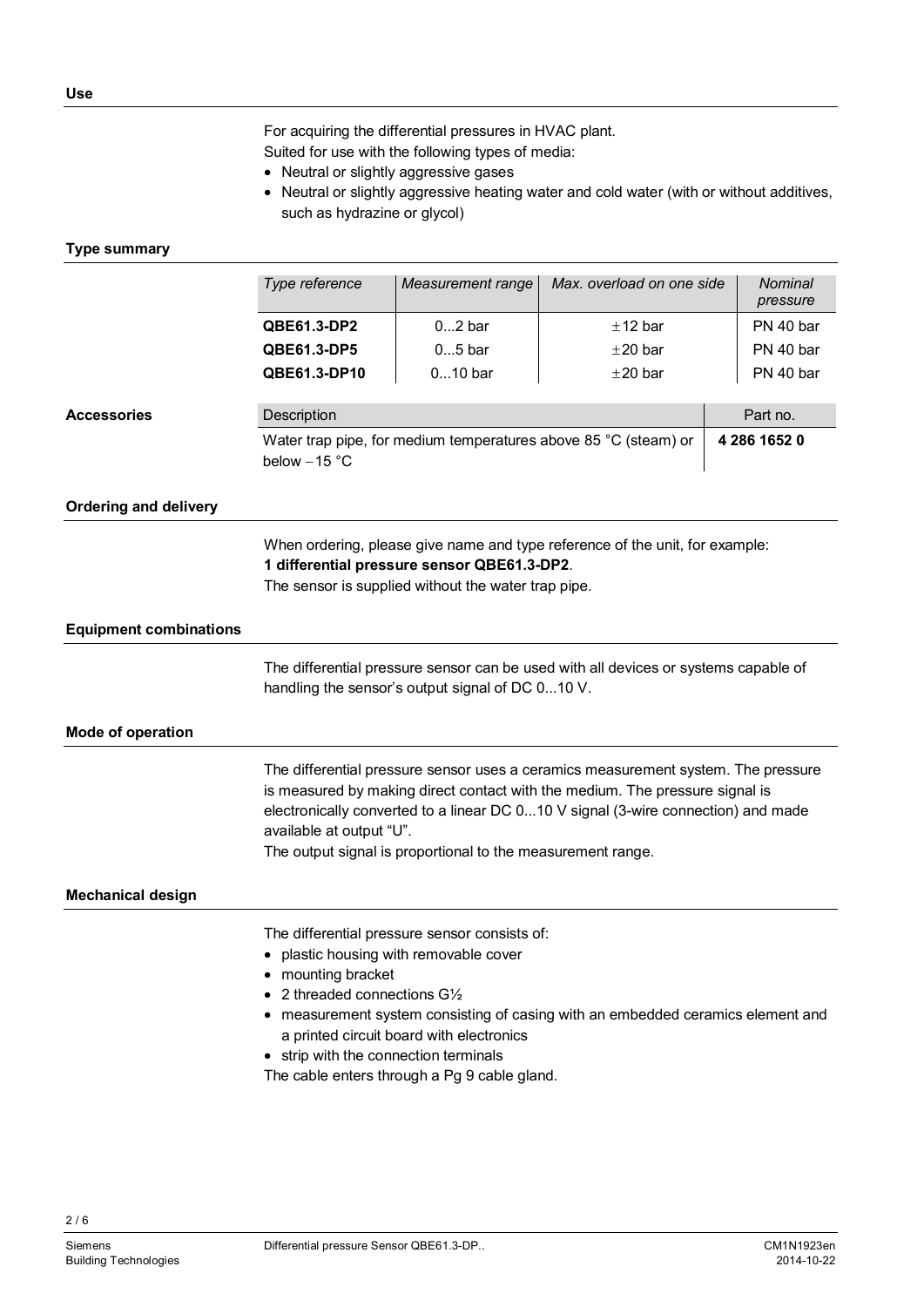For acquiring the differential pressures in HVAC plant.

Suited for use with the following types of media:

- · Neutral or slightly aggressive gases
- · Neutral or slightly aggressive heating water and cold water (with or without additives, such as hydrazine or glycol)

#### **Type summary**

|                               | Type reference                                                                                                                                                                                                                                                                                                                                                   | Measurement range | Max. overload on one side                                       | Nominal<br>pressure |
|-------------------------------|------------------------------------------------------------------------------------------------------------------------------------------------------------------------------------------------------------------------------------------------------------------------------------------------------------------------------------------------------------------|-------------------|-----------------------------------------------------------------|---------------------|
|                               | QBE61.3-DP2                                                                                                                                                                                                                                                                                                                                                      | $02$ bar          | ±12 bar                                                         | PN 40 bar           |
|                               | QBE61.3-DP5                                                                                                                                                                                                                                                                                                                                                      | $05$ bar          | $±20$ bar                                                       | PN 40 bar           |
|                               | QBE61.3-DP10                                                                                                                                                                                                                                                                                                                                                     | $010$ bar         | ±20 bar                                                         | PN 40 bar           |
| <b>Accessories</b>            | Part no.<br>Description                                                                                                                                                                                                                                                                                                                                          |                   |                                                                 |                     |
|                               | below $-15$ °C                                                                                                                                                                                                                                                                                                                                                   |                   | Water trap pipe, for medium temperatures above 85 °C (steam) or | 4 286 1652 0        |
| <b>Ordering and delivery</b>  |                                                                                                                                                                                                                                                                                                                                                                  |                   |                                                                 |                     |
|                               | When ordering, please give name and type reference of the unit, for example:<br>1 differential pressure sensor QBE61.3-DP2.<br>The sensor is supplied without the water trap pipe.                                                                                                                                                                               |                   |                                                                 |                     |
| <b>Equipment combinations</b> |                                                                                                                                                                                                                                                                                                                                                                  |                   |                                                                 |                     |
|                               | The differential pressure sensor can be used with all devices or systems capable of<br>handling the sensor's output signal of DC 010 V.                                                                                                                                                                                                                          |                   |                                                                 |                     |
| Mode of operation             |                                                                                                                                                                                                                                                                                                                                                                  |                   |                                                                 |                     |
|                               | The differential pressure sensor uses a ceramics measurement system. The pressure<br>is measured by making direct contact with the medium. The pressure signal is<br>electronically converted to a linear DC 010 V signal (3-wire connection) and made<br>available at output "U".<br>The output signal is proportional to the measurement range.                |                   |                                                                 |                     |
| <b>Mechanical design</b>      |                                                                                                                                                                                                                                                                                                                                                                  |                   |                                                                 |                     |
|                               | The differential pressure sensor consists of:<br>plastic housing with removable cover<br>• mounting bracket<br>2 threaded connections G1/2<br>measurement system consisting of casing with an embedded ceramics element and<br>a printed circuit board with electronics<br>• strip with the connection terminals<br>The cable enters through a Pg 9 cable gland. |                   |                                                                 |                     |

 $2/6$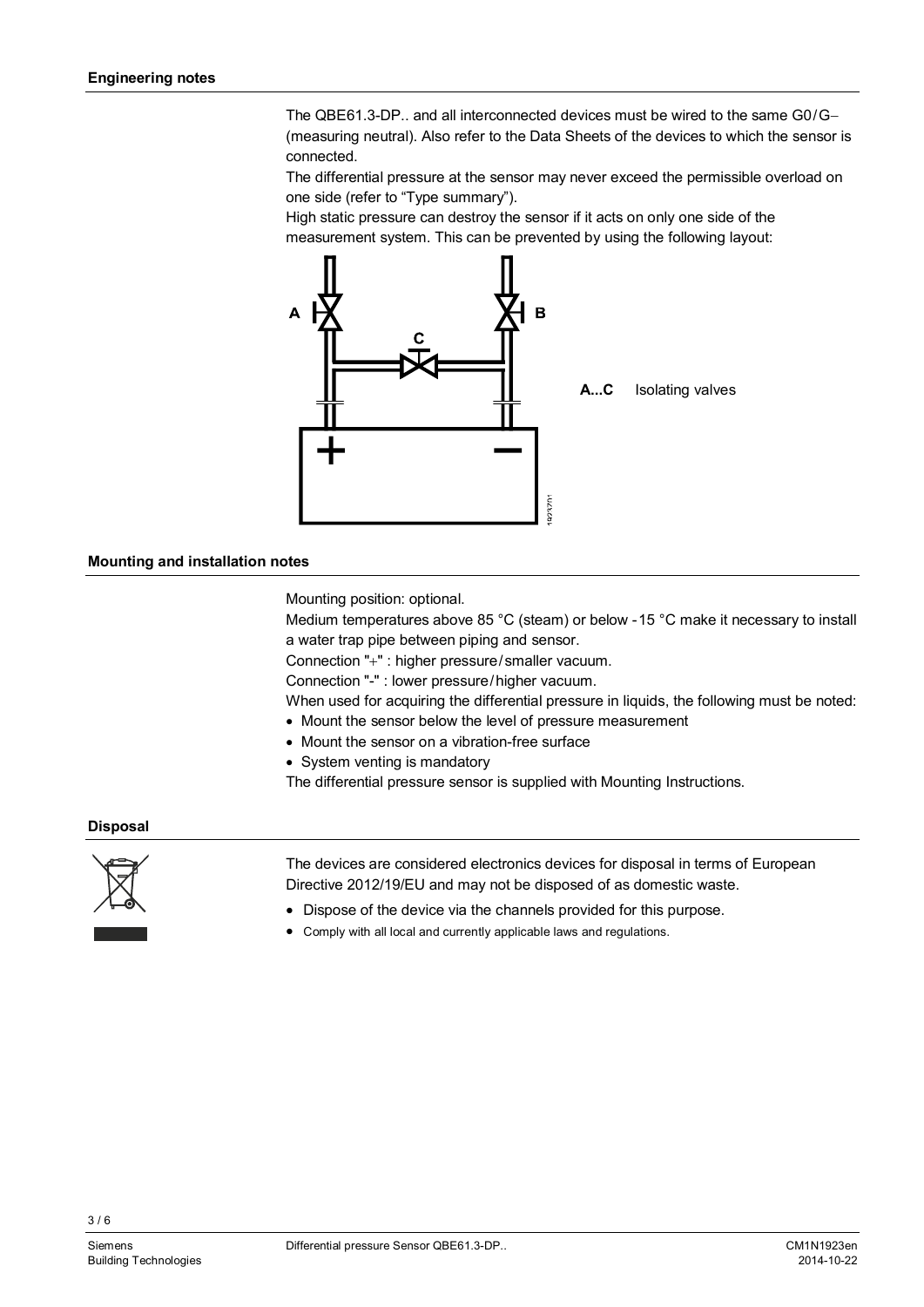The QBE61.3-DP.. and all interconnected devices must be wired to the same G0/G- (measuring neutral). Also refer to the Data Sheets of the devices to which the sensor is connected.

The differential pressure at the sensor may never exceed the permissible overload on one side (refer to "Type summary").

High static pressure can destroy the sensor if it acts on only one side of the measurement system. This can be prevented by using the following layout:



#### **Mounting and installation notes**

Mounting position: optional.

Medium temperatures above 85 °C (steam) or below -15 °C make it necessary to install a water trap pipe between piping and sensor.

Connection "+" : higher pressure/smaller vacuum.

Connection "-" : lower pressure/higher vacuum.

When used for acquiring the differential pressure in liquids, the following must be noted:

- · Mount the sensor below the level of pressure measurement
- · Mount the sensor on a vibration-free surface
- · System venting is mandatory

The differential pressure sensor is supplied with Mounting Instructions.

#### **Disposal**



The devices are considered electronics devices for disposal in terms of European Directive 2012/19/EU and may not be disposed of as domestic waste.

- · Dispose of the device via the channels provided for this purpose.
- · Comply with all local and currently applicable laws and regulations.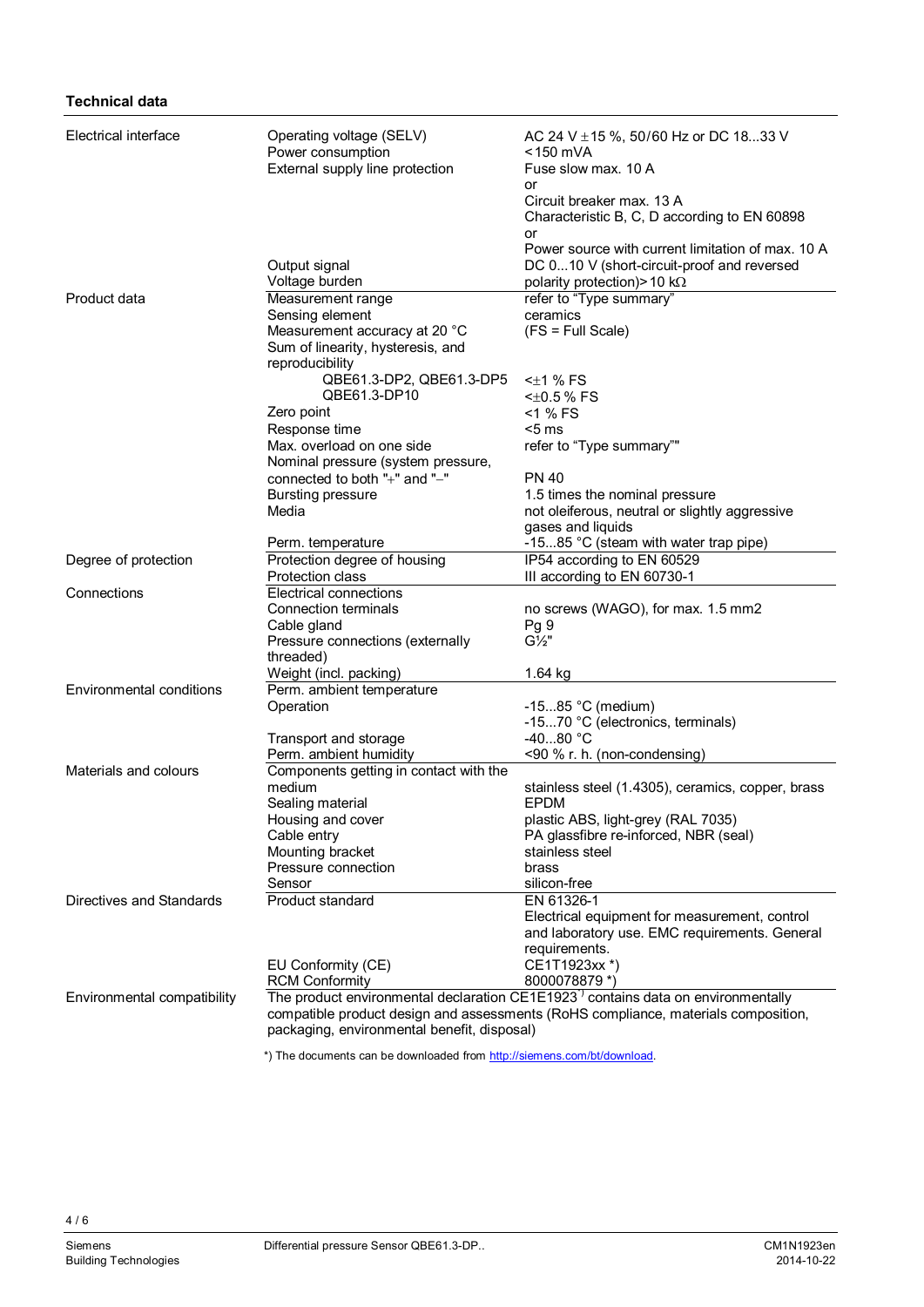#### **Technical data**

| Electrical interface        | Operating voltage (SELV)<br>Power consumption                                                | AC 24 V ± 15 %, 50/60 Hz or DC 1833 V<br><150 mVA       |  |  |
|-----------------------------|----------------------------------------------------------------------------------------------|---------------------------------------------------------|--|--|
|                             | External supply line protection                                                              | Fuse slow max. 10 A                                     |  |  |
|                             |                                                                                              | or<br>Circuit breaker max, 13 A                         |  |  |
|                             |                                                                                              | Characteristic B, C, D according to EN 60898            |  |  |
|                             |                                                                                              | or<br>Power source with current limitation of max. 10 A |  |  |
|                             | Output signal                                                                                | DC 010 V (short-circuit-proof and reversed              |  |  |
|                             | Voltage burden                                                                               | polarity protection) > 10 k $\Omega$                    |  |  |
| Product data                | Measurement range                                                                            | refer to "Type summary"                                 |  |  |
|                             | Sensing element                                                                              | ceramics                                                |  |  |
|                             | Measurement accuracy at 20 °C                                                                | $(FS = Full Scale)$                                     |  |  |
|                             | Sum of linearity, hysteresis, and                                                            |                                                         |  |  |
|                             | reproducibility                                                                              |                                                         |  |  |
|                             | QBE61.3-DP2, QBE61.3-DP5                                                                     | $\leq$ 1 % FS                                           |  |  |
|                             | QBE61.3-DP10                                                                                 | $<\pm 0.5 \%$ FS                                        |  |  |
|                             | Zero point                                                                                   | <1 % FS                                                 |  |  |
|                             | Response time                                                                                | $5 \text{ ms}$                                          |  |  |
|                             | Max. overload on one side<br>Nominal pressure (system pressure,                              | refer to "Type summary""                                |  |  |
|                             | connected to both "+" and "-"                                                                | <b>PN 40</b>                                            |  |  |
|                             | <b>Bursting pressure</b>                                                                     | 1.5 times the nominal pressure                          |  |  |
|                             | Media                                                                                        | not oleiferous, neutral or slightly aggressive          |  |  |
|                             |                                                                                              | gases and liquids                                       |  |  |
|                             | Perm. temperature                                                                            | -1585 °C (steam with water trap pipe)                   |  |  |
| Degree of protection        | Protection degree of housing                                                                 | IP54 according to EN 60529                              |  |  |
|                             | Protection class                                                                             | III according to EN 60730-1                             |  |  |
| Connections                 | Electrical connections                                                                       |                                                         |  |  |
|                             | Connection terminals                                                                         | no screws (WAGO), for max. 1.5 mm2                      |  |  |
|                             | Cable gland                                                                                  | Pg 9                                                    |  |  |
|                             | Pressure connections (externally                                                             | $G\frac{1}{2}$ "                                        |  |  |
|                             | threaded)                                                                                    |                                                         |  |  |
| Environmental conditions    | Weight (incl. packing)<br>Perm. ambient temperature                                          | 1.64 kg                                                 |  |  |
|                             | Operation                                                                                    | -1585 $^{\circ}$ C (medium)                             |  |  |
|                             |                                                                                              | -1570 °C (electronics, terminals)                       |  |  |
|                             | Transport and storage                                                                        | $-4080 °C$                                              |  |  |
|                             | Perm. ambient humidity                                                                       | <90 % r. h. (non-condensing)                            |  |  |
| Materials and colours       | Components getting in contact with the                                                       |                                                         |  |  |
|                             | medium                                                                                       | stainless steel (1.4305), ceramics, copper, brass       |  |  |
|                             | Sealing material                                                                             | <b>EPDM</b>                                             |  |  |
|                             | Housing and cover                                                                            | plastic ABS, light-grey (RAL 7035)                      |  |  |
|                             | Cable entry                                                                                  | PA glassfibre re-inforced, NBR (seal)                   |  |  |
|                             | Mounting bracket                                                                             | stainless steel                                         |  |  |
|                             | Pressure connection<br>Sensor                                                                | brass                                                   |  |  |
| Directives and Standards    | Product standard                                                                             | silicon-free<br>EN 61326-1                              |  |  |
|                             |                                                                                              | Electrical equipment for measurement, control           |  |  |
|                             |                                                                                              | and laboratory use. EMC requirements. General           |  |  |
|                             |                                                                                              | requirements.                                           |  |  |
|                             | EU Conformity (CE)                                                                           | CE1T1923xx *)                                           |  |  |
|                             | <b>RCM Conformity</b>                                                                        | 8000078879 *)                                           |  |  |
| Environmental compatibility | The product environmental declaration CE1E1923 <sup>1</sup> contains data on environmentally |                                                         |  |  |
|                             | compatible product design and assessments (RoHS compliance, materials composition,           |                                                         |  |  |
|                             | packaging, environmental benefit, disposal)                                                  |                                                         |  |  |

\*) The documents can be downloaded from [http://siemens.com/bt/download.](http://siemens.com/bt/download)